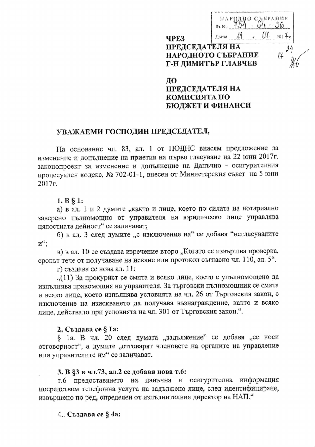$\frac{11 \text{ A} \cdot \text{O} \cdot \text{O} \cdot \text{O}}{4 \cdot 54 - 04 - 36}$ 0¥  $\lambda$ lama  $\Lambda$  /  $201 + z$ **ЧРЕЗ ПРЕДСЕДАТЕЛЯ НА** НАРОДНОТО СЪБРАНИЕ Г-Н ДИМИТЪР ГЛАВЧЕВ

# ДΟ **ПРЕДСЕДАТЕЛЯ НА** КОМИСИЯТА ПО БЮДЖЕТ И ФИНАНСИ

#### УВАЖАЕМИ ГОСПОДИН ПРЕДСЕДАТЕЛ,

На основание чл. 83, ал. 1 от ПОДНС внасям предложение за изменение и допълнение на приетия на първо гласуване на 22 юни 2017 г. законопроект за изменение и допълнение на Данъчно - осигурителния процесуален кодекс, № 702-01-1, внесен от Министерския съвет на 5 юни 2017г.

 $1. B § 1:$ 

а) в ал. 1 и 2 думите "както и лице, което по силата на нотариално заверено пълномощно от управителя на юридическо лице управлява цялостната дейност" се заличават;

б) в ал. 3 след думите "с изключение на" се добавя "негласувалите  $M_{\epsilon\epsilon}$ 

в) в ал. 10 се създава изречение второ "Когато се извършва проверка, срокът тече от получаване на искане или протокол съгласно чл. 110, ал. 5".

г) създава се нова ал. 11:

"(11) За прокурист се смята и всяко лице, което е упълномощено да изпълнява правомощия на управителя. За търговски пълномощник се смята и всяко лице, което изпълнява условията на чл. 26 от Търговския закон, с изключение на изискването да получава възнаграждение, както и всяко лице, действало при условията на чл. 301 от Търговския закон.".

#### 2. Създава се § 1а:

§ 1a, В чл. 20 след думата "задължение" се добавя "се носи отговорност", а думите "отговарят членовете на органите на управление или управителите им" се заличават.

#### 3. В §3 в чл.73, ал.2 се добавя нова т.6:

т.6 предоставянето на данъчна и осигурителна информация посредством телефонна услуга на задължено лице, след идентифициране, извършено по ред, определен от изпълнителния директор на НАП."

#### 4. Създава се § 4а: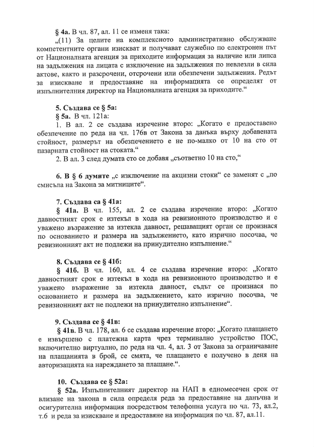§ 4а. В чл. 87, ал. 11 се изменя така:

"(11) За целите на комплексното административно обслужване компетентните органи изискват и получават служебно по електронен път от Националната агенция за приходите информация за наличие или липса на задължения на лицата с изключение на задължения по невлезли в сила актове, както и разсрочени, отсрочени или обезпечени задължения. Редът за изискване и предоставяне на информацията се определят от изпълнителния директор на Националната агенция за приходите."

# 5. Създава се § 5а:

§ 5а. В чл. 121а:

1. В ал. 2 се създава изречение второ: "Когато е предоставено обезпечение по реда на чл. 176в от Закона за данъка върху добавената стойност, размерът на обезпечението е не по-малко от 10 на сто от пазарната стойност на стоката."

2. В ал. 3 след думата сто се добавя "съответно 10 на сто,"

6. В § 6 думите "с изключение на акцизни стоки" се заменят с "по смисъла на Закона за митниците".

## 7. Създава са § 41 а:

§ 41a. В чл. 155, ал. 2 се създава изречение второ: "Когато давностният срок е изтекъл в хода на ревизионното производство и е уважено възражение за изтекла давност, решаващият орган се произнася по основанието и размера на задължението, като изрично посочва, че ревизионният акт не подлежи на принудително изпълнение."

### 8. Създава се § 41б:

§ 416. В чл. 160, ал. 4 се създава изречение второ: "Когато давностният срок е изтекъл в хода на ревизионното производство и е уважено възражение за изтекла давност, съдът се произнася по основанието и размера на задължението, като изрично посочва, че ревизионният акт не подлежи на принудително изпълнение".

# 9. Създава се § 41в:

§ 41в. В чл. 178, ал. 6 се създава изречение второ: "Когато плащането е извършено с платежна карта чрез терминално устройство ПОС, включително виртуално, по реда на чл. 4, ал. 3 от Закона за ограничаване на плащанията в брой, се смята, че плащането е получено в деня на авторизацията на нареждането за плащане.".

# 10. Създава се § 52а:

§ 52a. Изпълнителният директор на НАП в едномесечен срок от влизане на закона в сила определя реда за предоставяне на данъчна и осигурителна информация посредством телефонна услуга по чл. 73, ал.2, т.6 и реда за изискване и предоставяне на информация по чл. 87, ал.11.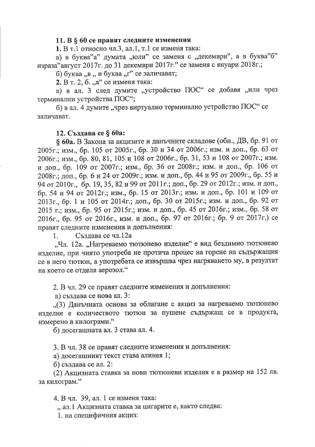#### 11. В § 60 се правят следните изменения

1. В т.1 относно чл.3, ал.1, т.1 се изменя така:

а) в буква"а" думата "юли" се заменя с "декември", а в буква"б" израза"август 2017г. до 31 декември 2017г." се заменя с януари 2018г.;

б) буква "в "и буква "г" се заличават;

2. В т. 2, б. "а" се изменя така:

а) в ал. 3 след думите "устройство ПОС" се добавя "или чрез терминални устройства ПОС";

б) в ал. 4 думите "чрез виртуално терминално устройство ПОС" се заличават.

#### 12. Създава се § 60a:

§ 60a. В Закона за акцизите и данъчните складове (обн., ДВ, бр. 91 от 2005г.; изм., бр. 105 от 2005г., бр. 30 и 34 от 2006г.; изм. и доп., бр. 63 от 2006г.; изм., бр. 80, 81, 105 и 108 от 2006г., бр. 31, 53 и 108 от 2007г.; изм. и доп., бр. 109 от 2007г.; изм., бр. 36 от 2008г.; изм. и доп., бр. 106 от 2008г.; доп., бр. 6 и 24 от 2009г.; изм. и доп., бр. 44 и 95 от 2009г., бр. 55 и 94 от 2010г., бр. 19, 35, 82 и 99 от 2011г.; доп., бр. 29 от 2012г.; изм. и доп., бр. 54 и 94 от 2012г.; изм., бр. 15 от 2013г.; изм. и доп., бр. 101 и 109 от 2013г., бр. 1 и 105 от 2014г.; доп., бр. 30 от 2015г.; изм. и доп., бр. 92 от 2015 г.; изм., бр. 95 от 2015г.; изм. и доп., бр. 45 от 2016г.; изм., бр. 58 от 2016г., бр. 95 от 2016г., изм. и доп., бр. 97 от 2016г.; бр. 9 от 2017г.) се правят следните изменения и допълнения:

Създава се чл.12а 1.

"Чл. 12а. "Нагреваемо тютюнево изделие" е вид бездимно тютюнево изделие, при чиято употреба не протича процес на горене на съдържащия се в него тютюн, а употребата се извършва чрез нагряването му, в резултат на което се отделя аерозол."

2. В чл. 29 се правят следните изменения и допълнения:

а) създава се нова ал. 3:

"(3) Данъчната основа за облагане с акциз за нагреваемо тютюнево изделие е количеството тютюн за пушене съдържащ се в продукта, измерено в килограми."

б) досегашната ал. 3 става ал. 4.

3. В чл. 38 се правят следните изменения и допълнения:

а) досегашният текст става алинея 1;

б) създава се ал. 2:

(2) Акцизната ставка за нови тютюневи изделия е в размер на 152 лв. за килограм."

4. В чл. 39, ал. 1 се изменя така:

" ал. 1 Акцизната ставка за цигарите е, както следва:

1. на специфичния акциз: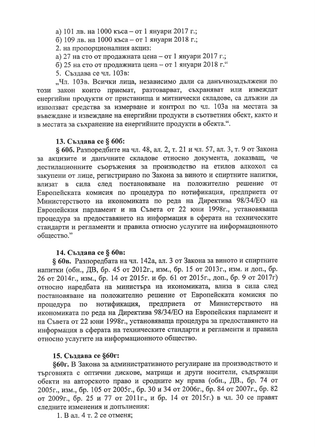а) 101 лв. на 1000 къса – от 1 януари 2017 г.;

б) 109 лв. на 1000 къса – от 1 януари 2018 г.;

2. на пропорционалния акциз:

а) 27 на сто от продажната цена - от 1 януари 2017 г.;

б) 25 на сто от продажната цена - от 1 януари 2018 г."

5. Създава се чл. 103в:

"Чл. 103в. Всички лица, независимо дали са данъчнозадължени по закон които приемат, разтоварват, съхраняват или извеждат този енергийни продукти от пристанища и митнически складове, са длъжни да използват средства за измерване и контрол по чл. 103а на местата за въвеждане и извеждане на енергийни продукти в съответния обект, както и в местата за съхранение на енергийните продукти в обекта.".

### 13. Създава се § 606:

§ 60б. Разпоредбите на чл. 48, ал. 2, т. 21 и чл. 57, ал. 3, т. 9 от Закона за акцизите и данъчните складове относно документа, доказващ, че дестилационните съоръжения за производство на етилов алкохол са закупени от лице, регистрирано по Закона за виното и спиртните напитки, влизат в сила след постановяване на положително решение OT Европейската комисия по процедура по нотификация, предприета от Министерството на икономиката по реда на Директива 98/34/ЕО на Европейския парламент и на Съвета от 22 юни 1998г., установяваща процедура за предоставянето на информация в сферата на техническите стандарти и регламенти и правила относно услугите на информационното общество."

#### 14. Създава се § 60в:

§ 60в. Разпоредбата на чл. 142а, ал. 3 от Закона за виното и спиртните напитки (обн., ДВ, бр. 45 от 2012г., изм., бр. 15 от 2013г., изм. и доп., бр. 26 от 2014г., изм., бр. 14 от 2015г. и бр. 61 от 2015г., доп., бр. 9 от 2017г) относно наредбата на министъра на икономиката, влиза в сила след постановяване на положително решение от Европейската комисия по Министерството на по нотификация, предприета **OT** процедура икономиката по реда на Директива 98/34/ЕО на Европейския парламент и на Съвета от 22 юни 1998г., установяваща процедура за предоставянето на информация в сферата на техническите стандарти и регламенти и правила относно услугите на информационното общество.

### 15. Създава се §60г:

§60г. В Закона за административното регулиране на производството и търговията с оптични дискове, матрици и други носители, съдържащи обекти на авторското право и сродните му права (обн., ДВ., бр. 74 от 2005г., изм., бр. 105 от 2005г., бр. 30 и 34 от 2006г., бр. 84 от 2007г., бр. 82 от 2009г., бр. 25 и 77 от 2011г., и бр. 14 от 2015г.) в чл. 30 се правят следните изменения и допълнения:

1. В ал. 4 т. 2 се отменя;